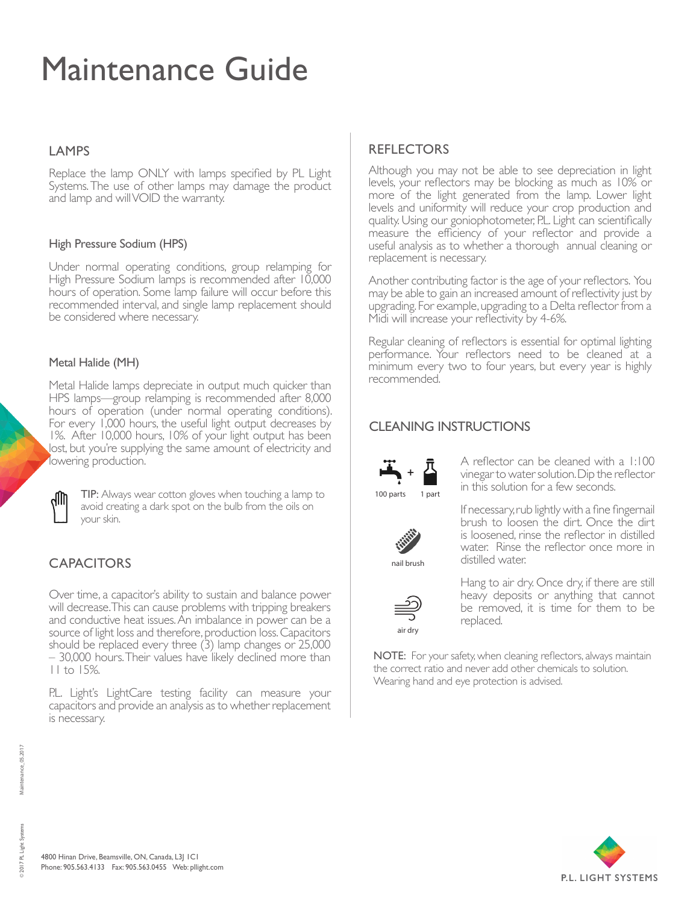# Maintenance Guide

#### **LAMPS**

Replace the lamp ONLY with lamps specified by PL Light Systems. The use of other lamps may damage the product and lamp and will VOID the warranty.

#### High Pressure Sodium (HPS)

Under normal operating conditions, group relamping for High Pressure Sodium lamps is recommended after 10,000 hours of operation. Some lamp failure will occur before this recommended interval, and single lamp replacement should be considered where necessary.

#### Metal Halide (MH)

Metal Halide lamps depreciate in output much quicker than HPS lamps—group relamping is recommended after 8,000 hours of operation (under normal operating conditions). For every 1,000 hours, the useful light output decreases by 1%. After 10,000 hours, 10% of your light output has been lost, but you're supplying the same amount of electricity and lowering production.



TIP: Always wear cotton gloves when touching a lamp to avoid creating a dark spot on the bulb from the oils on your skin.

## **CAPACITORS**

Over time, a capacitor's ability to sustain and balance power will decrease. This can cause problems with tripping breakers and conductive heat issues. An imbalance in power can be a source of light loss and therefore, production loss. Capacitors should be replaced every three (3) lamp changes or 25,000 – 30,000 hours. Their values have likely declined more than 11 to 15%.

P.L. Light's LightCare testing facility can measure your capacitors and provide an analysis as to whether replacement is necessary.

## REFLECTORS

Although you may not be able to see depreciation in light levels, your reflectors may be blocking as much as 10% or more of the light generated from the lamp. Lower light levels and uniformity will reduce your crop production and quality. Using our goniophotometer, P.L. Light can scientifically measure the efficiency of your reflector and provide a useful analysis as to whether a thorough annual cleaning or replacement is necessary.

Another contributing factor is the age of your reflectors. You may be able to gain an increased amount of reflectivity just by upgrading. For example, upgrading to a Delta reflector from a Midi will increase your reflectivity by 4-6%.

Regular cleaning of reflectors is essential for optimal lighting performance. Your reflectors need to be cleaned at a minimum every two to four years, but every year is highly recommended.

## CLEANING INSTRUCTIONS



A reflector can be cleaned with a 1:100 vinegar to water solution. Dip the reflector in this solution for a few seconds.



If necessary, rub lightly with a fine fingernail brush to loosen the dirt. Once the dirt is loosened, rinse the reflector in distilled water. Rinse the reflector once more in distilled water.



Hang to air dry. Once dry, if there are still heavy deposits or anything that cannot be removed, it is time for them to be replaced.

NOTE: For your safety, when cleaning reflectors, always maintain the correct ratio and never add other chemicals to solution. Wearing hand and eye protection is advised.